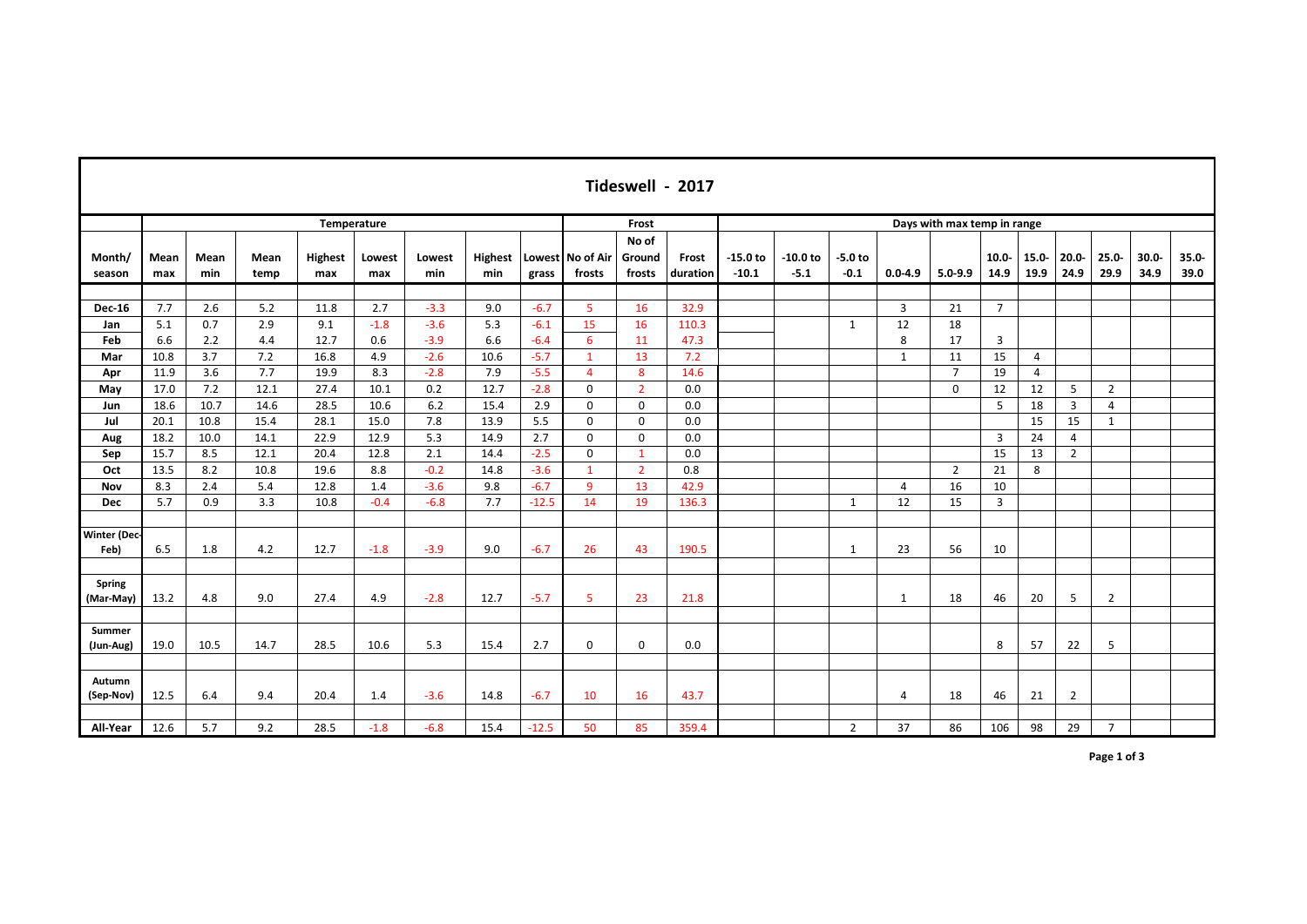|                             | Tideswell - 2017 |             |              |                       |               |               |                       |         |                            |                           |                   |                       |                      |                             |              |                |                  |                  |                  |                  |                  |                  |  |  |  |
|-----------------------------|------------------|-------------|--------------|-----------------------|---------------|---------------|-----------------------|---------|----------------------------|---------------------------|-------------------|-----------------------|----------------------|-----------------------------|--------------|----------------|------------------|------------------|------------------|------------------|------------------|------------------|--|--|--|
|                             |                  | Temperature |              |                       |               |               |                       |         |                            |                           | Frost             |                       |                      | Days with max temp in range |              |                |                  |                  |                  |                  |                  |                  |  |  |  |
| Month/<br>season            | Mean<br>max      | Mean<br>min | Mean<br>temp | <b>Highest</b><br>max | Lowest<br>max | Lowest<br>min | <b>Highest</b><br>min | grass   | Lowest No of Air<br>frosts | No of<br>Ground<br>frosts | Frost<br>duration | $-15.0$ to<br>$-10.1$ | $-10.0$ to<br>$-5.1$ | $-5.0$ to<br>$-0.1$         | $0.0 - 4.9$  | $5.0 - 9.9$    | $10.0 -$<br>14.9 | $15.0 -$<br>19.9 | $20.0 -$<br>24.9 | $25.0 -$<br>29.9 | $30.0 -$<br>34.9 | $35.0 -$<br>39.0 |  |  |  |
|                             |                  |             |              |                       |               |               |                       |         |                            |                           |                   |                       |                      |                             |              |                |                  |                  |                  |                  |                  |                  |  |  |  |
| <b>Dec-16</b>               | 7.7              | 2.6         | 5.2          | 11.8                  | 2.7           | $-3.3$        | 9.0                   | $-6.7$  | $\overline{5}$             | 16                        | 32.9              |                       |                      |                             | 3            | 21             | $\overline{7}$   |                  |                  |                  |                  |                  |  |  |  |
| Jan                         | 5.1              | 0.7         | 2.9          | 9.1                   | $-1.8$        | $-3.6$        | 5.3                   | $-6.1$  | 15                         | 16                        | 110.3             |                       |                      | $\mathbf{1}$                | 12           | 18             |                  |                  |                  |                  |                  |                  |  |  |  |
| Feb                         | 6.6              | 2.2         | 4.4          | 12.7                  | 0.6           | $-3.9$        | 6.6                   | $-6.4$  | 6                          | 11                        | 47.3              |                       |                      |                             | 8            | 17             | 3                |                  |                  |                  |                  |                  |  |  |  |
| Mar                         | 10.8             | 3.7         | 7.2          | 16.8                  | 4.9           | $-2.6$        | 10.6                  | $-5.7$  | $\mathbf{1}$               | 13                        | 7.2               |                       |                      |                             | 1            | 11             | 15               | 4                |                  |                  |                  |                  |  |  |  |
| Apr                         | 11.9             | 3.6         | 7.7          | 19.9                  | 8.3           | $-2.8$        | 7.9                   | $-5.5$  | $\overline{4}$             | 8                         | 14.6              |                       |                      |                             |              | $\overline{7}$ | 19               | 4                |                  |                  |                  |                  |  |  |  |
| May                         | 17.0             | 7.2         | 12.1         | 27.4                  | 10.1          | 0.2           | 12.7                  | $-2.8$  | $\mathbf 0$                | $\overline{2}$            | 0.0               |                       |                      |                             |              | $\mathbf 0$    | 12               | 12               | 5                | $\overline{2}$   |                  |                  |  |  |  |
| Jun                         | 18.6             | 10.7        | 14.6         | 28.5                  | 10.6          | 6.2           | 15.4                  | 2.9     | $\mathbf 0$                | 0                         | 0.0               |                       |                      |                             |              |                | 5                | 18               | 3                | 4                |                  |                  |  |  |  |
| Jul                         | 20.1             | 10.8        | 15.4         | 28.1                  | 15.0          | 7.8           | 13.9                  | 5.5     | $\mathbf 0$                | $\mathsf 0$               | 0.0               |                       |                      |                             |              |                |                  | 15               | 15               | $\mathbf{1}$     |                  |                  |  |  |  |
| Aug                         | 18.2             | 10.0        | 14.1         | 22.9                  | 12.9          | 5.3           | 14.9                  | 2.7     | $\mathbf 0$                | $\mathbf 0$               | 0.0               |                       |                      |                             |              |                | 3                | 24               | $\overline{4}$   |                  |                  |                  |  |  |  |
| Sep                         | 15.7             | 8.5         | 12.1         | 20.4                  | 12.8          | 2.1           | 14.4                  | $-2.5$  | $\mathbf 0$                | $\mathbf{1}$              | 0.0               |                       |                      |                             |              |                | 15               | 13               | $\overline{2}$   |                  |                  |                  |  |  |  |
| Oct                         | 13.5             | 8.2         | 10.8         | 19.6                  | 8.8           | $-0.2$        | 14.8                  | $-3.6$  | $\mathbf{1}$               | $2^{\circ}$               | 0.8               |                       |                      |                             |              | $\overline{2}$ | 21               | 8                |                  |                  |                  |                  |  |  |  |
| Nov                         | 8.3              | 2.4         | 5.4          | 12.8                  | 1.4           | $-3.6$        | 9.8                   | $-6.7$  | 9                          | 13                        | 42.9              |                       |                      |                             | 4            | 16             | 10               |                  |                  |                  |                  |                  |  |  |  |
| <b>Dec</b>                  | 5.7              | 0.9         | 3.3          | 10.8                  | $-0.4$        | $-6.8$        | 7.7                   | $-12.5$ | 14                         | 19                        | 136.3             |                       |                      | $\mathbf{1}$                | 12           | 15             | 3                |                  |                  |                  |                  |                  |  |  |  |
|                             |                  |             |              |                       |               |               |                       |         |                            |                           |                   |                       |                      |                             |              |                |                  |                  |                  |                  |                  |                  |  |  |  |
| <b>Winter (Dec-</b><br>Feb) | 6.5              | 1.8         | 4.2          | 12.7                  | $-1.8$        | $-3.9$        | 9.0                   | $-6.7$  | 26                         | 43                        | 190.5             |                       |                      | $\mathbf{1}$                | 23           | 56             | 10               |                  |                  |                  |                  |                  |  |  |  |
| <b>Spring</b><br>(Mar-May)  | 13.2             | 4.8         | 9.0          | 27.4                  | 4.9           | $-2.8$        | 12.7                  | $-5.7$  | 5                          | 23                        | 21.8              |                       |                      |                             | $\mathbf{1}$ | 18             | 46               | 20               | 5                | $\overline{2}$   |                  |                  |  |  |  |
|                             |                  |             |              |                       |               |               |                       |         |                            |                           |                   |                       |                      |                             |              |                |                  |                  |                  |                  |                  |                  |  |  |  |
| Summer<br>(Jun-Aug)         | 19.0             | 10.5        | 14.7         | 28.5                  | 10.6          | 5.3           | 15.4                  | 2.7     | $\mathbf 0$                | $\mathbf 0$               | 0.0               |                       |                      |                             |              |                | 8                | 57               | 22               | 5                |                  |                  |  |  |  |
|                             |                  |             |              |                       |               |               |                       |         |                            |                           |                   |                       |                      |                             |              |                |                  |                  |                  |                  |                  |                  |  |  |  |
| Autumn<br>(Sep-Nov)         | 12.5             | 6.4         | 9.4          | 20.4                  | 1.4           | $-3.6$        | 14.8                  | $-6.7$  | 10                         | 16                        | 43.7              |                       |                      |                             | 4            | 18             | 46               | 21               | $\overline{2}$   |                  |                  |                  |  |  |  |
| All-Year                    | 12.6             | 5.7         | 9.2          | 28.5                  | $-1.8$        | $-6.8$        | 15.4                  | $-12.5$ | 50                         | 85                        | 359.4             |                       |                      | $\overline{2}$              | 37           | 86             | 106              | 98               | 29               | $\overline{7}$   |                  |                  |  |  |  |

**Page 1 of 3**

┑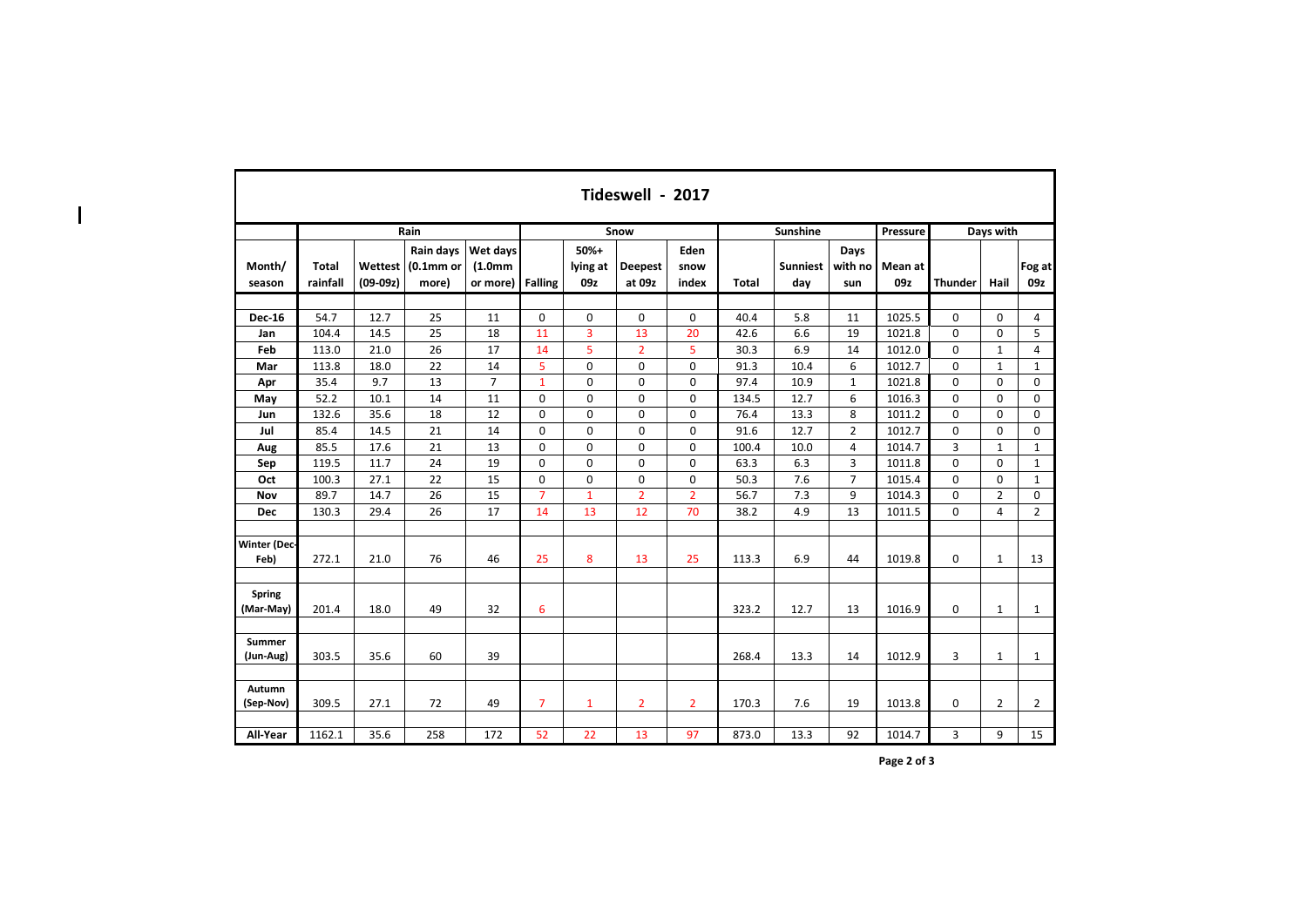|                             | Tideswell - 2017         |                       |                                            |                                              |                |                           |                          |                       |       |                        |                        |                |                |                |                |  |  |
|-----------------------------|--------------------------|-----------------------|--------------------------------------------|----------------------------------------------|----------------|---------------------------|--------------------------|-----------------------|-------|------------------------|------------------------|----------------|----------------|----------------|----------------|--|--|
|                             |                          |                       | Rain                                       |                                              |                |                           | Snow                     |                       |       | <b>Sunshine</b>        |                        | Pressure       | Days with      |                |                |  |  |
| Month/<br>season            | <b>Total</b><br>rainfall | Wettest<br>$(09-09z)$ | Rain days<br>(0.1 <sub>mm</sub> )<br>more) | Wet days<br>(1.0 <sub>mm</sub> )<br>or more) | <b>Falling</b> | $50%+$<br>lying at<br>09z | <b>Deepest</b><br>at 09z | Eden<br>snow<br>index | Total | <b>Sunniest</b><br>day | Days<br>with no<br>sun | Mean at<br>09z | <b>Thunder</b> | Hail           | Fog at<br>09z  |  |  |
| <b>Dec-16</b>               | 54.7                     | 12.7                  | 25                                         | 11                                           | 0              | $\mathbf 0$               | 0                        | 0                     | 40.4  | 5.8                    | 11                     | 1025.5         | $\mathbf 0$    | $\Omega$       | 4              |  |  |
| Jan                         | 104.4                    | 14.5                  | 25                                         | 18                                           | 11             | 3                         | 13                       | 20                    | 42.6  | 6.6                    | 19                     | 1021.8         | $\mathbf 0$    | 0              | 5              |  |  |
| Feb                         | 113.0                    | 21.0                  | 26                                         | 17                                           | 14             | 5                         | $\overline{2}$           | 5                     | 30.3  | 6.9                    | 14                     | 1012.0         | 0              | $\mathbf{1}$   | 4              |  |  |
| Mar                         | 113.8                    | 18.0                  | 22                                         | 14                                           | 5              | 0                         | 0                        | 0                     | 91.3  | 10.4                   | 6                      | 1012.7         | 0              | $\mathbf{1}$   | $\mathbf{1}$   |  |  |
| Apr                         | 35.4                     | 9.7                   | 13                                         | $\overline{7}$                               | $\mathbf{1}$   | $\mathbf 0$               | $\Omega$                 | 0                     | 97.4  | 10.9                   | $\mathbf{1}$           | 1021.8         | $\mathbf 0$    | 0              | 0              |  |  |
| May                         | 52.2                     | 10.1                  | 14                                         | 11                                           | 0              | $\mathbf 0$               | $\mathbf 0$              | 0                     | 134.5 | 12.7                   | 6                      | 1016.3         | $\mathbf 0$    | 0              | 0              |  |  |
| Jun                         | 132.6                    | 35.6                  | 18                                         | 12                                           | $\mathbf 0$    | $\mathbf 0$               | $\mathbf 0$              | 0                     | 76.4  | 13.3                   | 8                      | 1011.2         | 0              | 0              | 0              |  |  |
| Jul                         | 85.4                     | 14.5                  | 21                                         | 14                                           | 0              | $\mathbf 0$               | $\mathbf 0$              | 0                     | 91.6  | 12.7                   | $\overline{2}$         | 1012.7         | $\mathbf 0$    | 0              | 0              |  |  |
| Aug                         | 85.5                     | 17.6                  | 21                                         | 13                                           | 0              | $\mathbf 0$               | $\mathbf 0$              | 0                     | 100.4 | 10.0                   | 4                      | 1014.7         | 3              | $\mathbf{1}$   | $\mathbf{1}$   |  |  |
| Sep                         | 119.5                    | 11.7                  | 24                                         | 19                                           | 0              | $\mathbf 0$               | $\Omega$                 | 0                     | 63.3  | 6.3                    | 3                      | 1011.8         | $\Omega$       | $\Omega$       | $\mathbf{1}$   |  |  |
| Oct                         | 100.3                    | 27.1                  | 22                                         | 15                                           | 0              | $\mathbf 0$               | $\mathbf 0$              | 0                     | 50.3  | 7.6                    | $\overline{7}$         | 1015.4         | $\mathbf{0}$   | 0              | $\mathbf{1}$   |  |  |
| <b>Nov</b>                  | 89.7                     | 14.7                  | 26                                         | 15                                           | $\overline{7}$ | $\mathbf{1}$              | $\overline{2}$           | $\overline{2}$        | 56.7  | 7.3                    | 9                      | 1014.3         | 0              | $\overline{2}$ | 0              |  |  |
| <b>Dec</b>                  | 130.3                    | 29.4                  | 26                                         | 17                                           | 14             | 13                        | 12                       | 70                    | 38.2  | 4.9                    | 13                     | 1011.5         | 0              | 4              | $\overline{2}$ |  |  |
| <b>Winter (Dec-</b><br>Feb) | 272.1                    | 21.0                  | 76                                         | 46                                           | 25             | 8                         | 13                       | 25                    | 113.3 | 6.9                    | 44                     | 1019.8         | 0              | $\mathbf{1}$   | 13             |  |  |
| Spring<br>(Mar-May)         | 201.4                    | 18.0                  | 49                                         | 32                                           | 6              |                           |                          |                       | 323.2 | 12.7                   | 13                     | 1016.9         | 0              | 1              | $\mathbf{1}$   |  |  |
| <b>Summer</b><br>(Jun-Aug)  | 303.5                    | 35.6                  | 60                                         | 39                                           |                |                           |                          |                       | 268.4 | 13.3                   | 14                     | 1012.9         | 3              | 1              | $\mathbf{1}$   |  |  |
| <b>Autumn</b><br>(Sep-Nov)  | 309.5                    | 27.1                  | 72                                         | 49                                           | $\overline{7}$ | $\mathbf{1}$              | $\overline{2}$           | $\overline{2}$        | 170.3 | 7.6                    | 19                     | 1013.8         | 0              | $\overline{2}$ | $\overline{2}$ |  |  |
| All-Year                    | 1162.1                   | 35.6                  | 258                                        | 172                                          | 52             | 22                        | 13                       | 97                    | 873.0 | 13.3                   | 92                     | 1014.7         | 3              | 9              | 15             |  |  |

 $\overline{\phantom{a}}$ 

**Page 2 of 3**